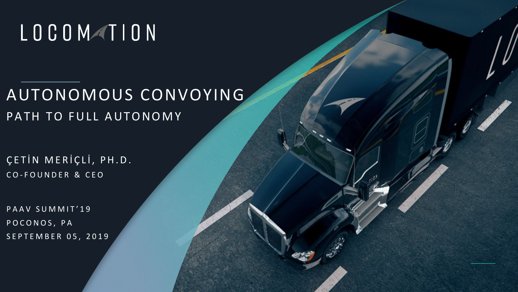## LOCOMATION

### AUTONOMOUS CONVOYING PATH TO FULL AUTONOMY

ÇETİN MERİÇLİ, PH.D. C O - FOUNDER & CEO

PAAV SUMMIT'19 POCONOS, PA SEPTEMBER 05, 2019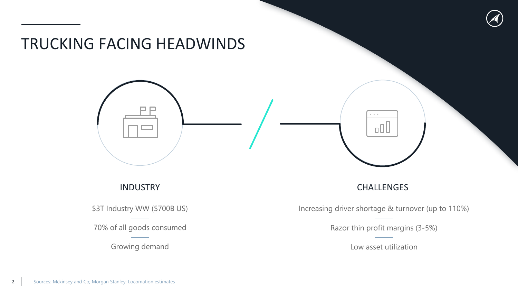

#### INDUSTRY

\$3T Industry WW (\$700B US)

70% of all goods consumed

Growing demand

#### CHALLENGES

Increasing driver shortage & turnover (up to 110%)

Razor thin profit margins (3-5%)

Low asset utilization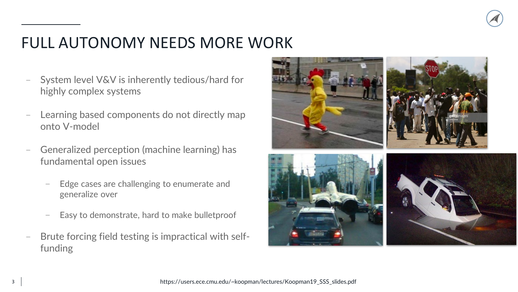

### FULL AUTONOMY NEEDS MORE WORK

- System level V&V is inherently tedious/hard for highly complex systems
- Learning based components do not directly map onto V-model
- Generalized perception (machine learning) has fundamental open issues
	- Edge cases are challenging to enumerate and generalize over
	- Easy to demonstrate, hard to make bulletproof
- − Brute forcing field testing is impractical with selffunding

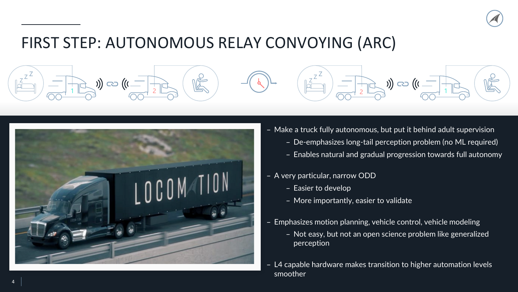

#### FIRST STEP: AUTONOMOUS RELAY CONVOYING (ARC)



- − Make a truck fully autonomous, but put it behind adult supervision
	- − De-emphasizes long-tail perception problem (no ML required)
	- − Enables natural and gradual progression towards full autonomy
- − A very particular, narrow ODD
	- − Easier to develop

 $Z^{\mathsf{Z}}$ 

 $1 \times 2$   $\sim$   $1 \times 1$   $\sim$   $1 \times 1$   $\sim$   $1 \times 1$   $\sim$   $1 \times 1$   $\sim$   $1 \times 1$ 

- − More importantly, easier to validate
- Emphasizes motion planning, vehicle control, vehicle modeling
	- − Not easy, but not an open science problem like generalized perception
- − L4 capable hardware makes transition to higher automation levels smoother

 $Z^{\mathsf{Z}}$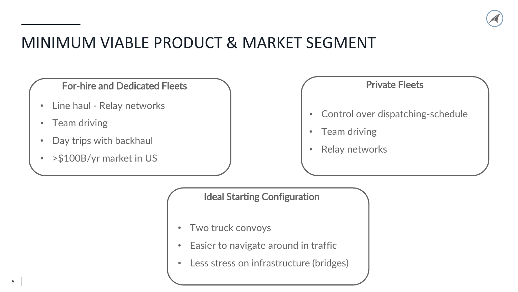

#### MINIMUM VIABLE PRODUCT & MARKET SEGMENT

For-hire and Dedicated Fleets

- Line haul Relay networks
- Team driving
- Day trips with backhaul
- >\$100B/yr market in US

#### Private Fleets

- Control over dispatching-schedule
- Team driving
- Relay networks

Ideal Starting Configuration

- Two truck convoys
- Easier to navigate around in traffic
- Less stress on infrastructure (bridges)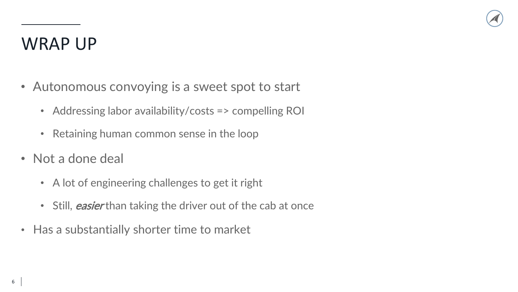### WRAP UP

- Autonomous convoying is a sweet spot to start
	- Addressing labor availability/costs => compelling ROI
	- Retaining human common sense in the loop
- Not a done deal
	- A lot of engineering challenges to get it right
	- Still, *easier* than taking the driver out of the cab at once
- Has a substantially shorter time to market